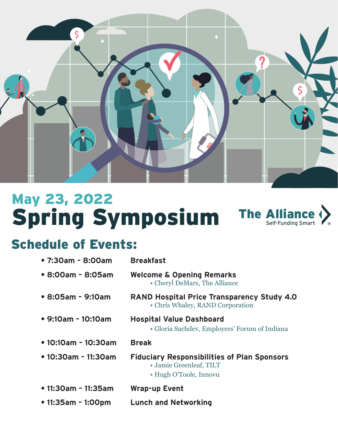

### Spring Symposium May 23, 2022 **The Allian** Self-Funding Smart

# Schedule of Events:

| • 7:30am - 8:00am           | <b>Breakfast</b>                                                                                        |
|-----------------------------|---------------------------------------------------------------------------------------------------------|
| • 8:00am - 8:05am           | <b>Welcome &amp; Opening Remarks</b><br>• Cheryl DeMars, The Alliance                                   |
| • 8:05am - 9:10am           | <b>RAND Hospital Price Transparency Study 4.0</b><br>• Chris Whaley, RAND Corporation                   |
| $\bullet$ 9:10am - 10:10am  | <b>Hospital Value Dashboard</b><br>• Gloria Sachdev, Employers' Forum of Indiana                        |
| $\bullet$ 10:10am - 10:30am | <b>Break</b>                                                                                            |
| • 10:30am - 11:30am         | <b>Fiduciary Responsibilities of Plan Sponsors</b><br>• Jamie Greenleaf, TILT<br>• Hugh O'Toole, Innovu |
| • 11:30am - 11:35am         | <b>Wrap-up Event</b>                                                                                    |
| • 11:35am - 1:00pm          | <b>Lunch and Networking</b>                                                                             |
|                             |                                                                                                         |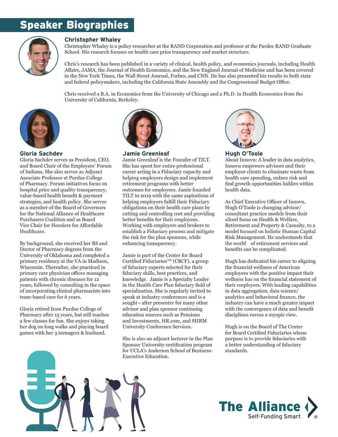## Speaker Biographies



#### **Christopher Whaley**

Christopher Whaley is a policy researcher at the RAND Corporation and professor at the Pardee RAND Graduate School. His research focuses on health care price transparency and market structure.

Chris's research has been published in a variety of clinical, health policy, and economics journals, including Health Affairs, JAMA, the Journal of Health Economics, and the New England Journal of Medicine and has been covered in the New York Times, the Wall Street Journal, Forbes, and CNN. He has also presented his results to both state and federal policymakers, including the California State Assembly and the Congressional Budget Office.

Chris received a B.A. in Economics from the University of Chicago and a Ph.D. in Health Economics from the University of California, Berkeley.



#### **Gloria Sachdev**

Gloria Sachdev serves as President, CEO, and Board Chair of the Employers' Forum of Indiana. She also serves as Adjunct Associate Professor at Purdue College of Pharmacy. Forum initiatives focus on hospital price and quality transparency, value-based health benefit & payment strategies, and health policy. She serves as a member of the Board of Governors for the National Alliance of Healthcare Purchasers Coalition and as Board Vice Chair for Hoosiers for Affordable Healthcare.

By background, she received her BS and Doctor of Pharmacy degrees from the University of Oklahoma and completed a primary residency at the VA in Madison, Wisconsin. Thereafter, she practiced in primary care physician offices managing patients with chronic diseases for 12 years, followed by consulting in the space of incorporating clinical pharmacists into team-based care for 6 years.

Gloria retired from Purdue College of Pharmacy after 15 years, but still teaches a few classes for fun. She enjoys taking her dog on long walks and playing board games with her 3 teenagers & husband.



**Jamie Greenleaf**

Jamie Greenleaf is the Founder of TILT. She has spent her entire professional career acting in a Fiduciary capacity and helping employers design and implement retirement programs with better outcomes for employees. Jamie founded TILT in 2019 with the same aspirations of helping employers fulfill their Fiduciary obligations on their health care plans by cutting and controlling cost and providing better benefits for their employees. Working with employers and brokers to establish a Fiduciary process and mitigate the risk for the plan sponsors, while enhancing transparency.

Jamie is part of the Center for Board Certified Fiduciaries™ (CBCF), a group of fiduciary experts selected for their fiduciary skills, best practices, and knowledge. Jamie is a Specialty Leader in the Health Care Plan fiduciary field of specialization. She is regularly invited to speak at industry conferences and is a sought¬ after presenter for many other advisor and plan sponsor continuing education sources such as Pensions and Investments, HR.com, and SHRM University Conference Services.

She is also an adjunct lecturer in the Plan Sponsor University certification program for UCLA's Anderson School of Business-Executive Education.



**Hugh O'Toole**

About Innovu: A leader in data analytics, Innovu empowers advisors and their employer clients to eliminate waste from health care spending, reduce risk and find growth opportunities hidden within health data.

As Chief Executive Officer of Innovu, Hugh O'Toole is changing advisor/ consultant practice models from their siloed focus on Health & Welfare, Retirement and Property & Casualty, to a model focused on holistic Human Capital Risk Management. He understands that the world of retirement services and benefits can be complicated.

Hugh has dedicated his career to aligning the financial wellness of American employees with the positive impact their wellness has on the financial statement of their employers. With leading capabilities in data aggregation, data science/ analytics and behavioral finance, the industry can have a much greater impact with the convergence of data and benefit disciplines versus a myopic view.

Hugh is on the Board of The Center for Board Certified Fiduciaries whose purpose is to provide fiduciaries with a better understanding of fiduciary standards.